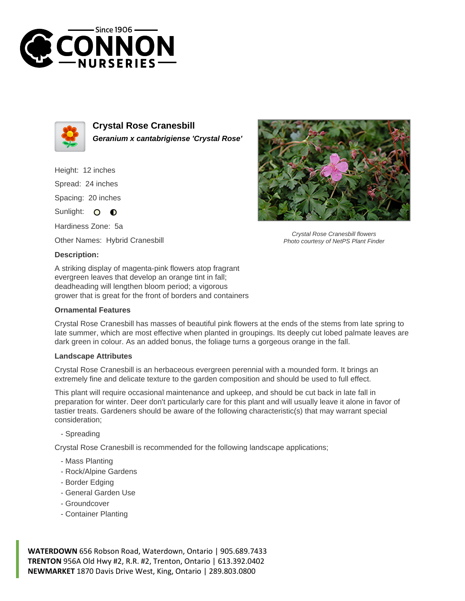



**Crystal Rose Cranesbill Geranium x cantabrigiense 'Crystal Rose'**

Height: 12 inches Spread: 24 inches Spacing: 20 inches Sunlight: O **O** 

Hardiness Zone: 5a

Other Names: Hybrid Cranesbill

## **Description:**

A striking display of magenta-pink flowers atop fragrant evergreen leaves that develop an orange tint in fall; deadheading will lengthen bloom period; a vigorous grower that is great for the front of borders and containers

## **Ornamental Features**

Crystal Rose Cranesbill has masses of beautiful pink flowers at the ends of the stems from late spring to late summer, which are most effective when planted in groupings. Its deeply cut lobed palmate leaves are dark green in colour. As an added bonus, the foliage turns a gorgeous orange in the fall.

## **Landscape Attributes**

Crystal Rose Cranesbill is an herbaceous evergreen perennial with a mounded form. It brings an extremely fine and delicate texture to the garden composition and should be used to full effect.

This plant will require occasional maintenance and upkeep, and should be cut back in late fall in preparation for winter. Deer don't particularly care for this plant and will usually leave it alone in favor of tastier treats. Gardeners should be aware of the following characteristic(s) that may warrant special consideration;

- Spreading

Crystal Rose Cranesbill is recommended for the following landscape applications;

- Mass Planting
- Rock/Alpine Gardens
- Border Edging
- General Garden Use
- Groundcover
- Container Planting

**WATERDOWN** 656 Robson Road, Waterdown, Ontario | 905.689.7433 **TRENTON** 956A Old Hwy #2, R.R. #2, Trenton, Ontario | 613.392.0402 **NEWMARKET** 1870 Davis Drive West, King, Ontario | 289.803.0800



Crystal Rose Cranesbill flowers Photo courtesy of NetPS Plant Finder